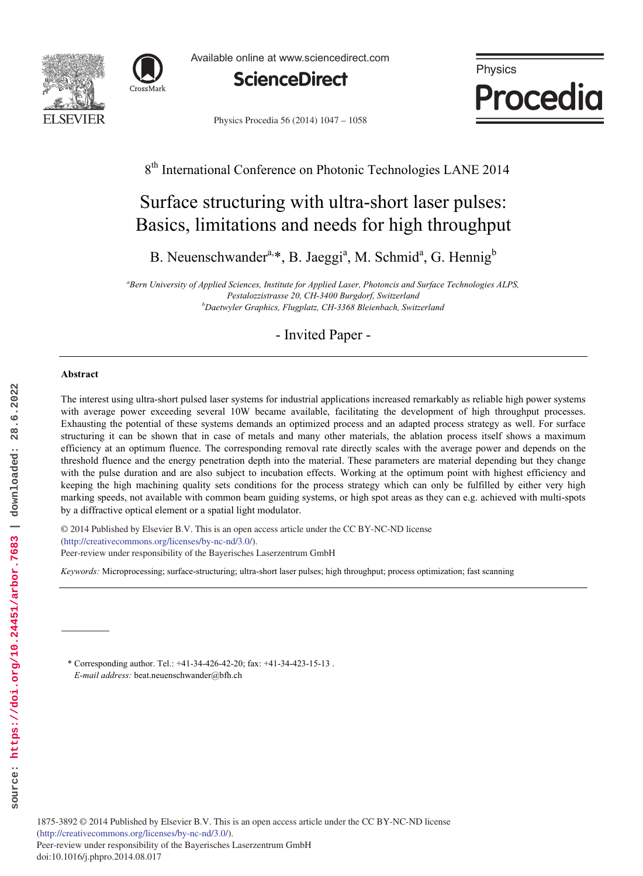



Available online at www.sciencedirect.com



Physics **Procedia** 

Physics Procedia 56 (2014) 1047 - 1058

# 8<sup>th</sup> International Conference on Photonic Technologies LANE 2014

# Surface structuring with ultra-short laser pulses: Basics, limitations and needs for high throughput

B. Neuenschwander<sup>a,\*</sup>, B. Jaeggi<sup>a</sup>, M. Schmid<sup>a</sup>, G. Hennig<sup>b</sup>

*a Bern University of Applied Sciences, Institute for Applied Laser, Photoncis and Surface Technologies ALPS, Pestalozzistrasse 20, CH-3400 Burgdorf, Switzerland b Daetwyler Graphics, Flugplatz, CH-3368 Bleienbach, Switzerland* 

- Invited Paper -

## **Abstract**

The interest using ultra-short pulsed laser systems for industrial applications increased remarkably as reliable high power systems with average power exceeding several 10W became available, facilitating the development of high throughput processes. Exhausting the potential of these systems demands an optimized process and an adapted process strategy as well. For surface structuring it can be shown that in case of metals and many other materials, the ablation process itself shows a maximum efficiency at an optimum fluence. The corresponding removal rate directly scales with the average power and depends on the threshold fluence and the energy penetration depth into the material. These parameters are material depending but they change with the pulse duration and are also subject to incubation effects. Working at the optimum point with highest efficiency and keeping the high machining quality sets conditions for the process strategy which can only be fulfilled by either very high marking speeds, not available with common beam guiding systems, or high spot areas as they can e.g. achieved with multi-spots by a diffractive optical element or a spatial light modulator.

 $\degree$  2014 Tubilished by Elsevier B.V. This is an open activity. (http://creativecommons.org/licenses/by-nc-nd/3.0/). (internative commons.org/nectiscs/by-ne-narp.org).<br>Peer-review under responsibility of the Bayerisches Laserzentrum GmbH © 2014 Published by Elsevier B.V. This is an open access article under the CC BY-NC-ND license

*Keywords:* Microprocessing; surface-structuring; ultra-short laser pulses; high throughput; process optimization; fast scanning

\* Corresponding author. Tel.: +41-34-426-42-20; fax: +41-34-423-15-13 . *E-mail address:* beat.neuenschwander@bfh.ch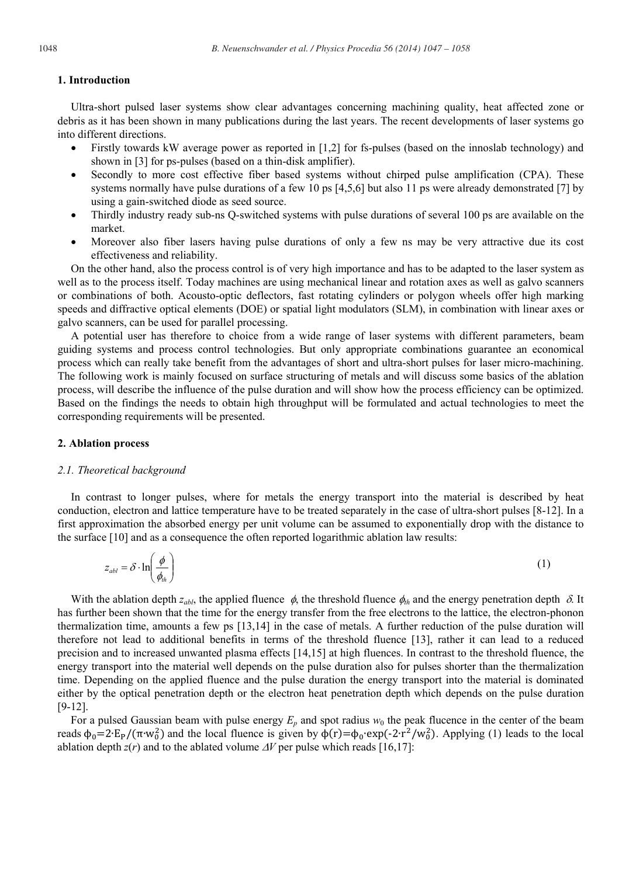# **1. Introduction**

Ultra-short pulsed laser systems show clear advantages concerning machining quality, heat affected zone or debris as it has been shown in many publications during the last years. The recent developments of laser systems go into different directions.

- Firstly towards kW average power as reported in [1,2] for fs-pulses (based on the innoslab technology) and shown in [3] for ps-pulses (based on a thin-disk amplifier).
- Secondly to more cost effective fiber based systems without chirped pulse amplification (CPA). These systems normally have pulse durations of a few 10 ps [4,5,6] but also 11 ps were already demonstrated [7] by using a gain-switched diode as seed source.
- Thirdly industry ready sub-ns Q-switched systems with pulse durations of several 100 ps are available on the market.
- x Moreover also fiber lasers having pulse durations of only a few ns may be very attractive due its cost effectiveness and reliability.

On the other hand, also the process control is of very high importance and has to be adapted to the laser system as well as to the process itself. Today machines are using mechanical linear and rotation axes as well as galvo scanners or combinations of both. Acousto-optic deflectors, fast rotating cylinders or polygon wheels offer high marking speeds and diffractive optical elements (DOE) or spatial light modulators (SLM), in combination with linear axes or galvo scanners, can be used for parallel processing.

A potential user has therefore to choice from a wide range of laser systems with different parameters, beam guiding systems and process control technologies. But only appropriate combinations guarantee an economical process which can really take benefit from the advantages of short and ultra-short pulses for laser micro-machining. The following work is mainly focused on surface structuring of metals and will discuss some basics of the ablation process, will describe the influence of the pulse duration and will show how the process efficiency can be optimized. Based on the findings the needs to obtain high throughput will be formulated and actual technologies to meet the corresponding requirements will be presented.

#### **2. Ablation process**

#### *2.1. Theoretical background*

In contrast to longer pulses, where for metals the energy transport into the material is described by heat conduction, electron and lattice temperature have to be treated separately in the case of ultra-short pulses [8-12]. In a first approximation the absorbed energy per unit volume can be assumed to exponentially drop with the distance to the surface [10] and as a consequence the often reported logarithmic ablation law results:

$$
z_{abl} = \delta \cdot \ln\left(\frac{\phi}{\phi_{lh}}\right) \tag{1}
$$

With the ablation depth  $z_{ab}$ , the applied fluence  $\phi$ , the threshold fluence  $\phi_{th}$  and the energy penetration depth  $\delta$ . It has further been shown that the time for the energy transfer from the free electrons to the lattice, the electron-phonon thermalization time, amounts a few ps [13,14] in the case of metals. A further reduction of the pulse duration will therefore not lead to additional benefits in terms of the threshold fluence [13], rather it can lead to a reduced precision and to increased unwanted plasma effects [14,15] at high fluences. In contrast to the threshold fluence, the energy transport into the material well depends on the pulse duration also for pulses shorter than the thermalization time. Depending on the applied fluence and the pulse duration the energy transport into the material is dominated either by the optical penetration depth or the electron heat penetration depth which depends on the pulse duration [9-12].

For a pulsed Gaussian beam with pulse energy  $E_p$  and spot radius  $w_0$  the peak flucence in the center of the beam reads  $\phi_0 = 2 \cdot E_P / (\pi \cdot w_0^2)$  and the local fluence is given by  $\phi(r) = \phi_0 \cdot \exp(-2 \cdot r^2 / w_0^2)$ . Applying (1) leads to the local ablation depth  $z(r)$  and to the ablated volume  $\Delta V$  per pulse which reads [16,17]: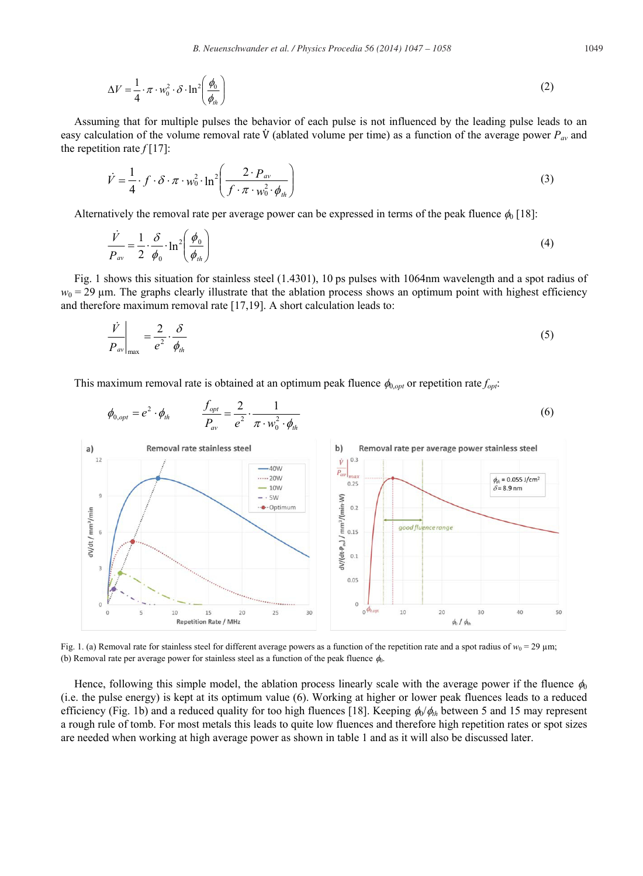$$
\Delta V = \frac{1}{4} \cdot \pi \cdot w_0^2 \cdot \delta \cdot \ln^2 \left( \frac{\phi_0}{\phi_{\text{th}}} \right) \tag{2}
$$

Assuming that for multiple pulses the behavior of each pulse is not influenced by the leading pulse leads to an easy calculation of the volume removal rate  $\dot{V}$  (ablated volume per time) as a function of the average power  $P_{av}$  and the repetition rate  $f[17]$ :

$$
\dot{V} = \frac{1}{4} \cdot f \cdot \delta \cdot \pi \cdot w_0^2 \cdot \ln^2 \left( \frac{2 \cdot P_{av}}{f \cdot \pi \cdot w_0^2 \cdot \phi_{th}} \right)
$$
 (3)

Alternatively the removal rate per average power can be expressed in terms of the peak fluence  $\phi_0$  [18]:

$$
\frac{\dot{V}}{P_{av}} = \frac{1}{2} \cdot \frac{\delta}{\phi_0} \cdot \ln^2 \left(\frac{\phi_0}{\phi_{th}}\right)
$$
\n(4)

Fig. 1 shows this situation for stainless steel (1.4301), 10 ps pulses with 1064nm wavelength and a spot radius of  $w_0 = 29 \mu$ m. The graphs clearly illustrate that the ablation process shows an optimum point with highest efficiency and therefore maximum removal rate [17,19]. A short calculation leads to:

$$
\left. \frac{\dot{V}}{P_{av}} \right|_{\text{max}} = \frac{2}{e^2} \cdot \frac{\delta}{\phi_{th}} \tag{5}
$$

This maximum removal rate is obtained at an optimum peak fluence  $\phi_{0,0pt}$  or repetition rate  $f_{0pt}$ :



Fig. 1. (a) Removal rate for stainless steel for different average powers as a function of the repetition rate and a spot radius of  $w_0 = 29 \text{ }\mu\text{m}$ ; (b) Removal rate per average power for stainless steel as a function of the peak fluence  $\phi_0$ .

Hence, following this simple model, the ablation process linearly scale with the average power if the fluence  $\phi_0$ (i.e. the pulse energy) is kept at its optimum value (6). Working at higher or lower peak fluences leads to a reduced efficiency (Fig. 1b) and a reduced quality for too high fluences [18]. Keeping  $\phi_0/\phi_h$  between 5 and 15 may represent a rough rule of tomb. For most metals this leads to quite low fluences and therefore high repetition rates or spot sizes are needed when working at high average power as shown in table 1 and as it will also be discussed later.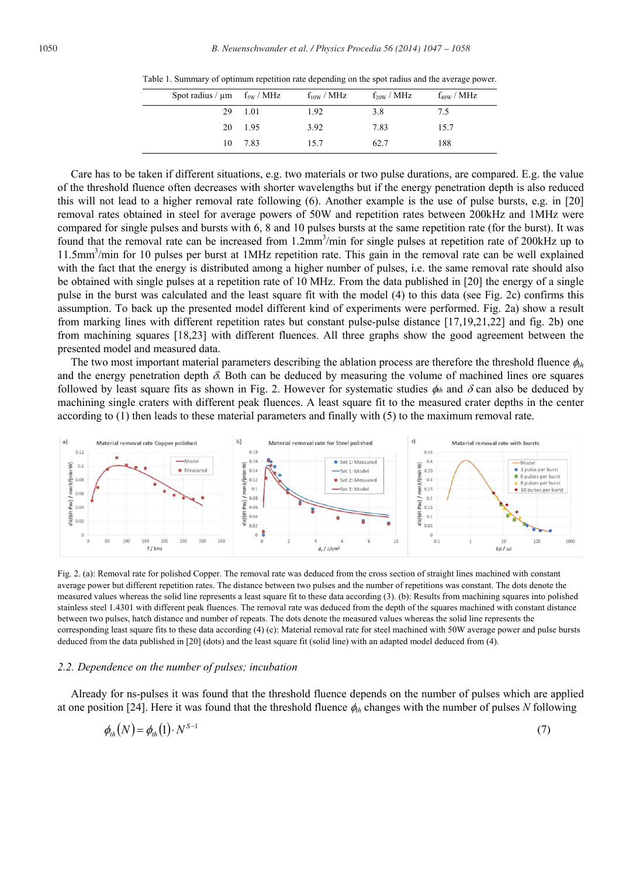Table 1. Summary of optimum repetition rate depending on the spot radius and the average power.

| Spot radius / $\mu$ m f <sub>5W</sub> / MHz |         | $f_{10W}$ / MHz | $f_{20W}$ / MHz | $f_{40W}$ / MHz |
|---------------------------------------------|---------|-----------------|-----------------|-----------------|
|                                             | 29 1.01 | 1.92            | 3.8             | 7.5             |
|                                             | 20 1.95 | 3.92            | 7.83            | 15.7            |
|                                             | 10 7.83 | 15.7            | 62.7            | 188             |

Care has to be taken if different situations, e.g. two materials or two pulse durations, are compared. E.g. the value of the threshold fluence often decreases with shorter wavelengths but if the energy penetration depth is also reduced this will not lead to a higher removal rate following (6). Another example is the use of pulse bursts, e.g. in [20] removal rates obtained in steel for average powers of 50W and repetition rates between 200kHz and 1MHz were compared for single pulses and bursts with 6, 8 and 10 pulses bursts at the same repetition rate (for the burst). It was found that the removal rate can be increased from 1.2mm<sup>3</sup>/min for single pulses at repetition rate of 200kHz up to 11.5mm<sup>3</sup>/min for 10 pulses per burst at 1MHz repetition rate. This gain in the removal rate can be well explained with the fact that the energy is distributed among a higher number of pulses, i.e. the same removal rate should also be obtained with single pulses at a repetition rate of 10 MHz. From the data published in [20] the energy of a single pulse in the burst was calculated and the least square fit with the model (4) to this data (see Fig. 2c) confirms this assumption. To back up the presented model different kind of experiments were performed. Fig. 2a) show a result from marking lines with different repetition rates but constant pulse-pulse distance [17,19,21,22] and fig. 2b) one from machining squares [18,23] with different fluences. All three graphs show the good agreement between the presented model and measured data.

The two most important material parameters describing the ablation process are therefore the threshold fluence  $\phi_{th}$ and the energy penetration depth  $\delta$ . Both can be deduced by measuring the volume of machined lines ore squares followed by least square fits as shown in Fig. 2. However for systematic studies  $\phi_h$  and  $\delta$  can also be deduced by machining single craters with different peak fluences. A least square fit to the measured crater depths in the center according to (1) then leads to these material parameters and finally with (5) to the maximum removal rate.



Fig. 2. (a): Removal rate for polished Copper. The removal rate was deduced from the cross section of straight lines machined with constant average power but different repetition rates. The distance between two pulses and the number of repetitions was constant. The dots denote the measured values whereas the solid line represents a least square fit to these data according (3). (b): Results from machining squares into polished stainless steel 1.4301 with different peak fluences. The removal rate was deduced from the depth of the squares machined with constant distance between two pulses, hatch distance and number of repeats. The dots denote the measured values whereas the solid line represents the corresponding least square fits to these data according (4) (c): Material removal rate for steel machined with 50W average power and pulse bursts deduced from the data published in [20] (dots) and the least square fit (solid line) with an adapted model deduced from (4).

# *2.2. Dependence on the number of pulses; incubation*

Already for ns-pulses it was found that the threshold fluence depends on the number of pulses which are applied at one position [24]. Here it was found that the threshold fluence  $\phi_{th}$  changes with the number of pulses *N* following

$$
\phi_{\scriptscriptstyle{th}}(N) = \phi_{\scriptscriptstyle{th}}(1) \cdot N^{S-1} \tag{7}
$$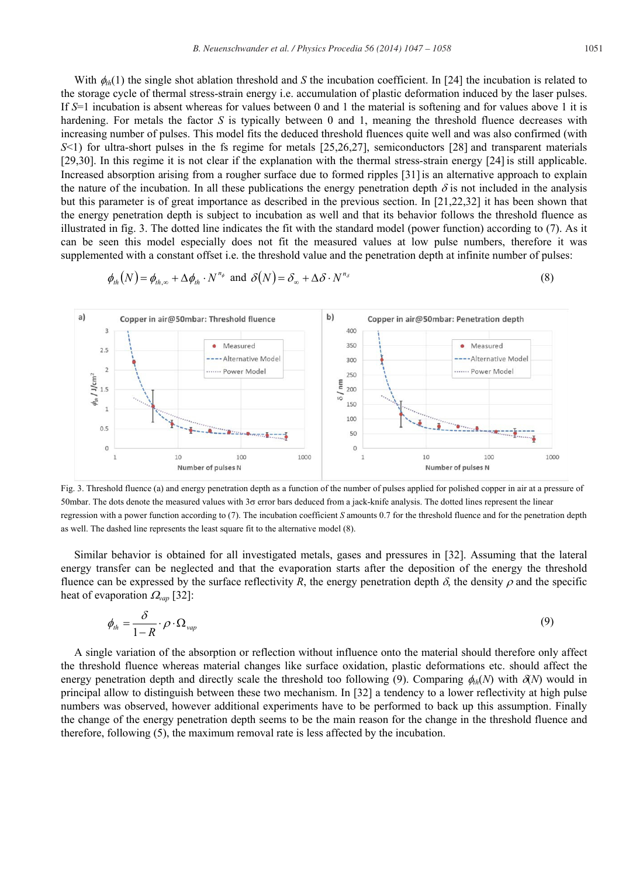With  $\phi_{th}(1)$  the single shot ablation threshold and *S* the incubation coefficient. In [24] the incubation is related to the storage cycle of thermal stress-strain energy i.e. accumulation of plastic deformation induced by the laser pulses. If *S*=1 incubation is absent whereas for values between 0 and 1 the material is softening and for values above 1 it is hardening. For metals the factor *S* is typically between 0 and 1, meaning the threshold fluence decreases with increasing number of pulses. This model fits the deduced threshold fluences quite well and was also confirmed (with *S*<1) for ultra-short pulses in the fs regime for metals [25,26,27], semiconductors [28] and transparent materials [29,30]. In this regime it is not clear if the explanation with the thermal stress-strain energy [24] is still applicable. Increased absorption arising from a rougher surface due to formed ripples [31]is an alternative approach to explain the nature of the incubation. In all these publications the energy penetration depth  $\delta$  is not included in the analysis but this parameter is of great importance as described in the previous section. In [21,22,32] it has been shown that the energy penetration depth is subject to incubation as well and that its behavior follows the threshold fluence as illustrated in fig. 3. The dotted line indicates the fit with the standard model (power function) according to (7). As it can be seen this model especially does not fit the measured values at low pulse numbers, therefore it was supplemented with a constant offset i.e. the threshold value and the penetration depth at infinite number of pulses:

$$
\phi_{th}(N) = \phi_{th,\infty} + \Delta \phi_{th} \cdot N^{n_{\phi}} \text{ and } \delta(N) = \delta_{\infty} + \Delta \delta \cdot N^{n_{\delta}}
$$
\n(8)



 Fig. 3. Threshold fluence (a) and energy penetration depth as a function of the number of pulses applied for polished copper in air at a pressure of 50mbar. The dots denote the measured values with  $3\sigma$  error bars deduced from a jack-knife analysis. The dotted lines represent the linear regression with a power function according to (7). The incubation coefficient *S* amounts 0.7 for the threshold fluence and for the penetration depth as well. The dashed line represents the least square fit to the alternative model (8).

Similar behavior is obtained for all investigated metals, gases and pressures in [32]. Assuming that the lateral energy transfer can be neglected and that the evaporation starts after the deposition of the energy the threshold fluence can be expressed by the surface reflectivity *R*, the energy penetration depth  $\delta$ , the density  $\rho$  and the specific heat of evaporation  $\Omega_{van}$  [32]:

$$
\phi_{th} = \frac{\delta}{1 - R} \cdot \rho \cdot \Omega_{vap} \tag{9}
$$

A single variation of the absorption or reflection without influence onto the material should therefore only affect the threshold fluence whereas material changes like surface oxidation, plastic deformations etc. should affect the energy penetration depth and directly scale the threshold too following (9). Comparing  $\phi_{th}(N)$  with  $\partial(N)$  would in principal allow to distinguish between these two mechanism. In [32] a tendency to a lower reflectivity at high pulse numbers was observed, however additional experiments have to be performed to back up this assumption. Finally the change of the energy penetration depth seems to be the main reason for the change in the threshold fluence and therefore, following (5), the maximum removal rate is less affected by the incubation.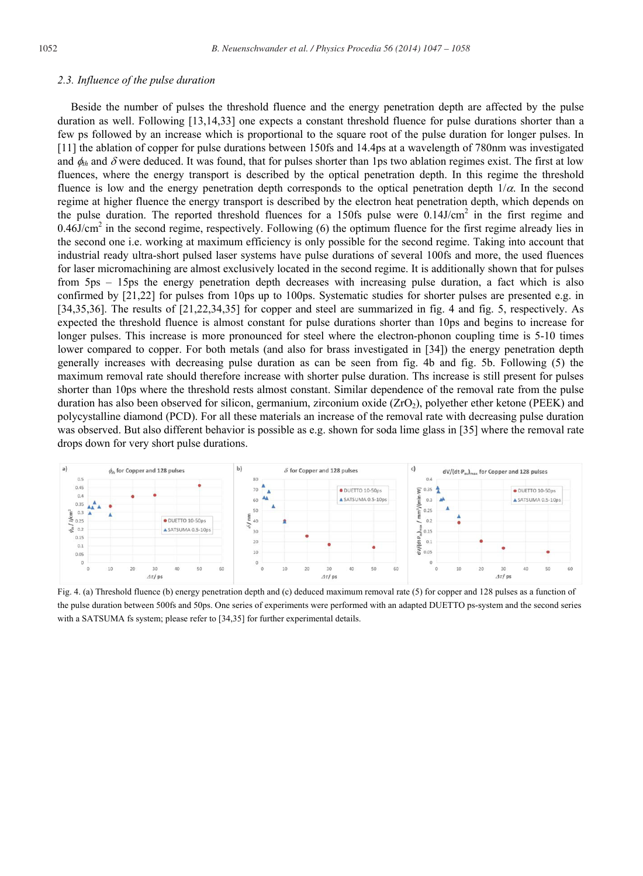# *2.3. Influence of the pulse duration*

Beside the number of pulses the threshold fluence and the energy penetration depth are affected by the pulse duration as well. Following [13,14,33] one expects a constant threshold fluence for pulse durations shorter than a few ps followed by an increase which is proportional to the square root of the pulse duration for longer pulses. In [11] the ablation of copper for pulse durations between 150fs and 14.4ps at a wavelength of 780nm was investigated and  $\phi_h$  and  $\delta$  were deduced. It was found, that for pulses shorter than 1ps two ablation regimes exist. The first at low fluences, where the energy transport is described by the optical penetration depth. In this regime the threshold fluence is low and the energy penetration depth corresponds to the optical penetration depth  $1/\alpha$ . In the second regime at higher fluence the energy transport is described by the electron heat penetration depth, which depends on the pulse duration. The reported threshold fluences for a 150fs pulse were  $0.14$ J/cm<sup>2</sup> in the first regime and  $0.46$ J/cm<sup>2</sup> in the second regime, respectively. Following (6) the optimum fluence for the first regime already lies in the second one i.e. working at maximum efficiency is only possible for the second regime. Taking into account that industrial ready ultra-short pulsed laser systems have pulse durations of several 100fs and more, the used fluences for laser micromachining are almost exclusively located in the second regime. It is additionally shown that for pulses from 5ps – 15ps the energy penetration depth decreases with increasing pulse duration, a fact which is also confirmed by [21,22] for pulses from 10ps up to 100ps. Systematic studies for shorter pulses are presented e.g. in [34,35,36]. The results of [21,22,34,35] for copper and steel are summarized in fig. 4 and fig. 5, respectively. As expected the threshold fluence is almost constant for pulse durations shorter than 10ps and begins to increase for longer pulses. This increase is more pronounced for steel where the electron-phonon coupling time is 5-10 times lower compared to copper. For both metals (and also for brass investigated in [34]) the energy penetration depth generally increases with decreasing pulse duration as can be seen from fig. 4b and fig. 5b. Following (5) the maximum removal rate should therefore increase with shorter pulse duration. Ths increase is still present for pulses shorter than 10ps where the threshold rests almost constant. Similar dependence of the removal rate from the pulse duration has also been observed for silicon, germanium, zirconium oxide  $(ZrO<sub>2</sub>)$ , polyether ether ketone (PEEK) and polycystalline diamond (PCD). For all these materials an increase of the removal rate with decreasing pulse duration was observed. But also different behavior is possible as e.g. shown for soda lime glass in [35] where the removal rate drops down for very short pulse durations.



Fig. 4. (a) Threshold fluence (b) energy penetration depth and (c) deduced maximum removal rate (5) for copper and 128 pulses as a function of the pulse duration between 500fs and 50ps. One series of experiments were performed with an adapted DUETTO ps-system and the second series with a SATSUMA fs system; please refer to [34,35] for further experimental details.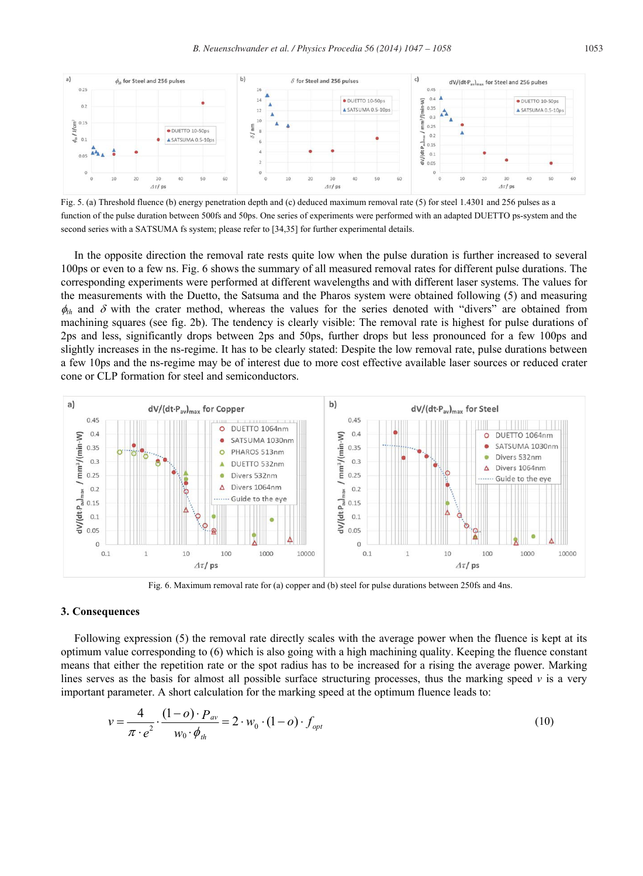

Fig. 5. (a) Threshold fluence (b) energy penetration depth and (c) deduced maximum removal rate (5) for steel 1.4301 and 256 pulses as a function of the pulse duration between 500fs and 50ps. One series of experiments were performed with an adapted DUETTO ps-system and the second series with a SATSUMA fs system; please refer to [34,35] for further experimental details.

In the opposite direction the removal rate rests quite low when the pulse duration is further increased to several 100ps or even to a few ns. Fig. 6 shows the summary of all measured removal rates for different pulse durations. The corresponding experiments were performed at different wavelengths and with different laser systems. The values for the measurements with the Duetto, the Satsuma and the Pharos system were obtained following (5) and measuring  $\phi_{th}$  and  $\delta$  with the crater method, whereas the values for the series denoted with "divers" are obtained from machining squares (see fig. 2b). The tendency is clearly visible: The removal rate is highest for pulse durations of 2ps and less, significantly drops between 2ps and 50ps, further drops but less pronounced for a few 100ps and slightly increases in the ns-regime. It has to be clearly stated: Despite the low removal rate, pulse durations between a few 10ps and the ns-regime may be of interest due to more cost effective available laser sources or reduced crater cone or CLP formation for steel and semiconductors.



Fig. 6. Maximum removal rate for (a) copper and (b) steel for pulse durations between 250fs and 4ns.

#### **3. Consequences**

Following expression (5) the removal rate directly scales with the average power when the fluence is kept at its optimum value corresponding to (6) which is also going with a high machining quality. Keeping the fluence constant means that either the repetition rate or the spot radius has to be increased for a rising the average power. Marking lines serves as the basis for almost all possible surface structuring processes, thus the marking speed *v* is a very important parameter. A short calculation for the marking speed at the optimum fluence leads to:

$$
v = \frac{4}{\pi \cdot e^2} \cdot \frac{(1 - o) \cdot P_{av}}{w_0 \cdot \phi_{th}} = 2 \cdot w_0 \cdot (1 - o) \cdot f_{opt}
$$
 (10)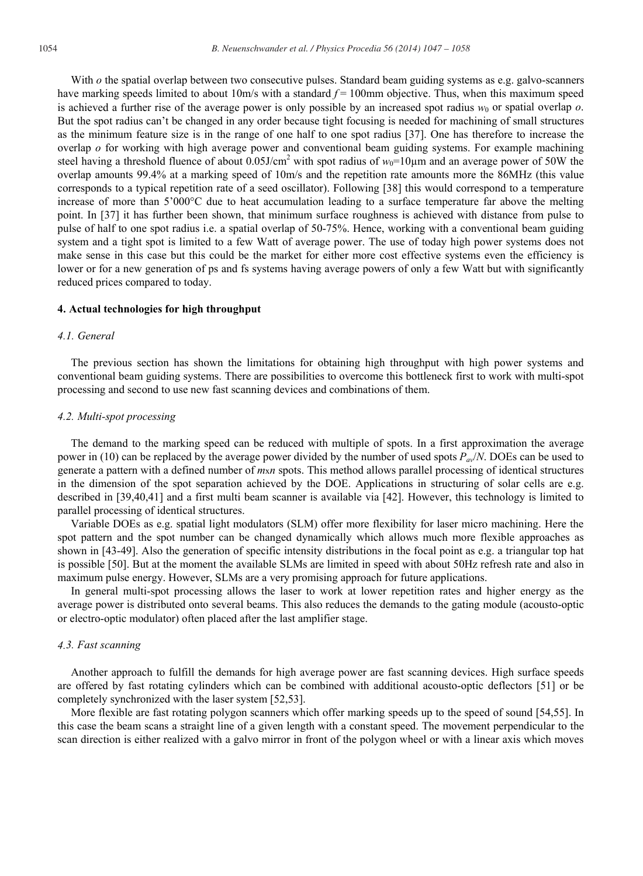With *o* the spatial overlap between two consecutive pulses. Standard beam guiding systems as e.g. galvo-scanners have marking speeds limited to about 10m/s with a standard  $f = 100$ mm objective. Thus, when this maximum speed is achieved a further rise of the average power is only possible by an increased spot radius  $w_0$  or spatial overlap  $\sigma$ . But the spot radius can't be changed in any order because tight focusing is needed for machining of small structures as the minimum feature size is in the range of one half to one spot radius [37]. One has therefore to increase the overlap *o* for working with high average power and conventional beam guiding systems. For example machining steel having a threshold fluence of about  $0.05$ J/cm<sup>2</sup> with spot radius of  $w_0$ =10 $\mu$ m and an average power of 50W the overlap amounts 99.4% at a marking speed of 10m/s and the repetition rate amounts more the 86MHz (this value corresponds to a typical repetition rate of a seed oscillator). Following [38] this would correspond to a temperature increase of more than 5'000°C due to heat accumulation leading to a surface temperature far above the melting point. In [37] it has further been shown, that minimum surface roughness is achieved with distance from pulse to pulse of half to one spot radius i.e. a spatial overlap of 50-75%. Hence, working with a conventional beam guiding system and a tight spot is limited to a few Watt of average power. The use of today high power systems does not make sense in this case but this could be the market for either more cost effective systems even the efficiency is lower or for a new generation of ps and fs systems having average powers of only a few Watt but with significantly reduced prices compared to today.

#### **4. Actual technologies for high throughput**

# *4.1. General*

The previous section has shown the limitations for obtaining high throughput with high power systems and conventional beam guiding systems. There are possibilities to overcome this bottleneck first to work with multi-spot processing and second to use new fast scanning devices and combinations of them.

# *4.2. Multi-spot processing*

The demand to the marking speed can be reduced with multiple of spots. In a first approximation the average power in (10) can be replaced by the average power divided by the number of used spots *Pav*/*N*. DOEs can be used to generate a pattern with a defined number of *m*x*n* spots. This method allows parallel processing of identical structures in the dimension of the spot separation achieved by the DOE. Applications in structuring of solar cells are e.g. described in [39,40,41] and a first multi beam scanner is available via [42]. However, this technology is limited to parallel processing of identical structures.

Variable DOEs as e.g. spatial light modulators (SLM) offer more flexibility for laser micro machining. Here the spot pattern and the spot number can be changed dynamically which allows much more flexible approaches as shown in [43-49]. Also the generation of specific intensity distributions in the focal point as e.g. a triangular top hat is possible [50]. But at the moment the available SLMs are limited in speed with about 50Hz refresh rate and also in maximum pulse energy. However, SLMs are a very promising approach for future applications.

In general multi-spot processing allows the laser to work at lower repetition rates and higher energy as the average power is distributed onto several beams. This also reduces the demands to the gating module (acousto-optic or electro-optic modulator) often placed after the last amplifier stage.

# *4.3. Fast scanning*

Another approach to fulfill the demands for high average power are fast scanning devices. High surface speeds are offered by fast rotating cylinders which can be combined with additional acousto-optic deflectors [51] or be completely synchronized with the laser system [52,53].

More flexible are fast rotating polygon scanners which offer marking speeds up to the speed of sound [54,55]. In this case the beam scans a straight line of a given length with a constant speed. The movement perpendicular to the scan direction is either realized with a galvo mirror in front of the polygon wheel or with a linear axis which moves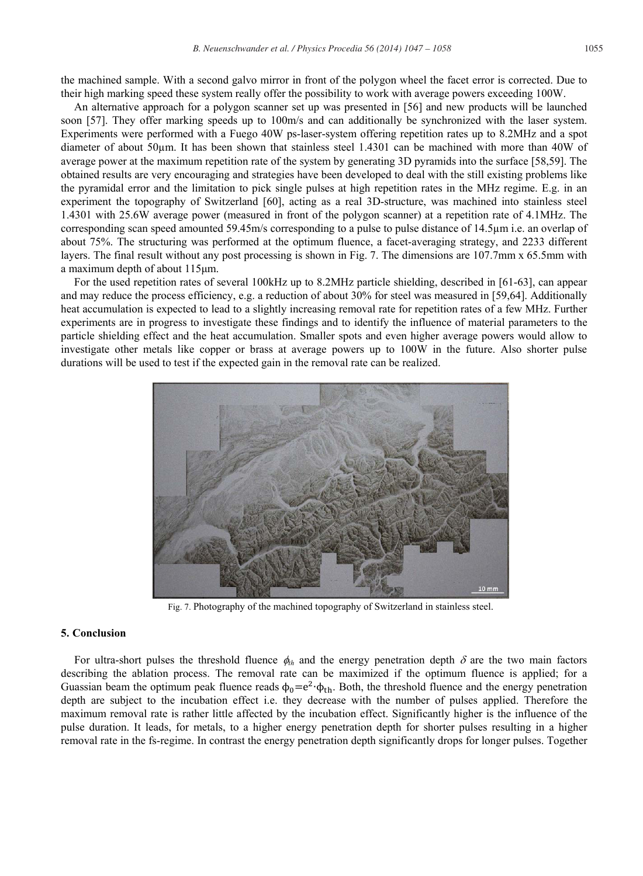the machined sample. With a second galvo mirror in front of the polygon wheel the facet error is corrected. Due to their high marking speed these system really offer the possibility to work with average powers exceeding 100W.

An alternative approach for a polygon scanner set up was presented in [56] and new products will be launched soon [57]. They offer marking speeds up to 100m/s and can additionally be synchronized with the laser system. Experiments were performed with a Fuego 40W ps-laser-system offering repetition rates up to 8.2MHz and a spot diameter of about 50μm. It has been shown that stainless steel 1.4301 can be machined with more than 40W of average power at the maximum repetition rate of the system by generating 3D pyramids into the surface [58,59]. The obtained results are very encouraging and strategies have been developed to deal with the still existing problems like the pyramidal error and the limitation to pick single pulses at high repetition rates in the MHz regime. E.g. in an experiment the topography of Switzerland [60], acting as a real 3D-structure, was machined into stainless steel 1.4301 with 25.6W average power (measured in front of the polygon scanner) at a repetition rate of 4.1MHz. The corresponding scan speed amounted 59.45m/s corresponding to a pulse to pulse distance of 14.5μm i.e. an overlap of about 75%. The structuring was performed at the optimum fluence, a facet-averaging strategy, and 2233 different layers. The final result without any post processing is shown in Fig. 7. The dimensions are 107.7mm x 65.5mm with a maximum depth of about 115 $\mu$ m.

For the used repetition rates of several 100kHz up to 8.2MHz particle shielding, described in [61-63], can appear and may reduce the process efficiency, e.g. a reduction of about 30% for steel was measured in [59,64]. Additionally heat accumulation is expected to lead to a slightly increasing removal rate for repetition rates of a few MHz. Further experiments are in progress to investigate these findings and to identify the influence of material parameters to the particle shielding effect and the heat accumulation. Smaller spots and even higher average powers would allow to investigate other metals like copper or brass at average powers up to 100W in the future. Also shorter pulse durations will be used to test if the expected gain in the removal rate can be realized.



Fig. 7. Photography of the machined topography of Switzerland in stainless steel.

# **5. Conclusion**

For ultra-short pulses the threshold fluence  $\phi_{th}$  and the energy penetration depth  $\delta$  are the two main factors describing the ablation process. The removal rate can be maximized if the optimum fluence is applied; for a Guassian beam the optimum peak fluence reads  $\phi_0 = e^2 \cdot \phi_{\text{th}}$ . Both, the threshold fluence and the energy penetration depth are subject to the incubation effect i.e. they decrease with the number of pulses applied. Therefore the maximum removal rate is rather little affected by the incubation effect. Significantly higher is the influence of the pulse duration. It leads, for metals, to a higher energy penetration depth for shorter pulses resulting in a higher removal rate in the fs-regime. In contrast the energy penetration depth significantly drops for longer pulses. Together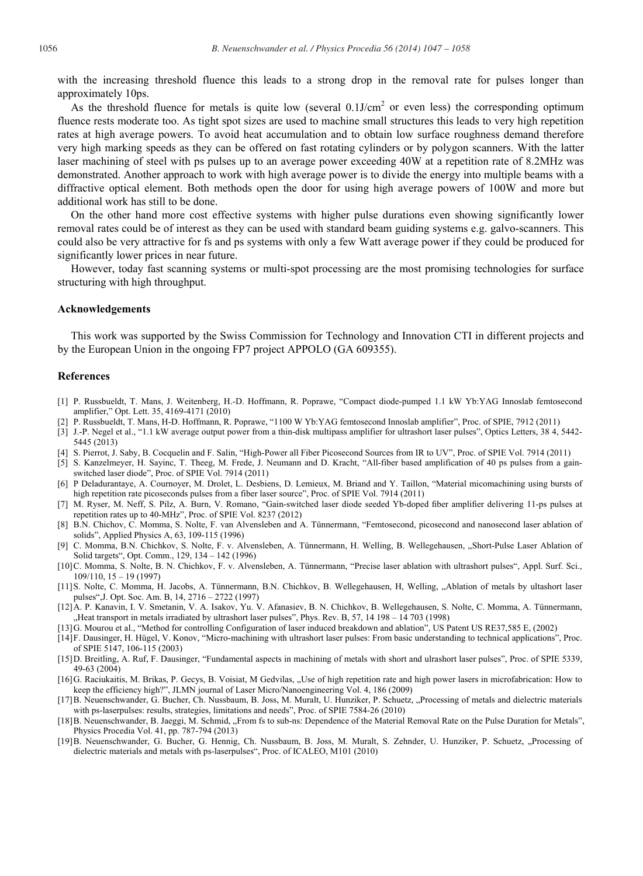with the increasing threshold fluence this leads to a strong drop in the removal rate for pulses longer than approximately 10ps.

As the threshold fluence for metals is quite low (several  $0.1$ J/cm<sup>2</sup> or even less) the corresponding optimum fluence rests moderate too. As tight spot sizes are used to machine small structures this leads to very high repetition rates at high average powers. To avoid heat accumulation and to obtain low surface roughness demand therefore very high marking speeds as they can be offered on fast rotating cylinders or by polygon scanners. With the latter laser machining of steel with ps pulses up to an average power exceeding 40W at a repetition rate of 8.2MHz was demonstrated. Another approach to work with high average power is to divide the energy into multiple beams with a diffractive optical element. Both methods open the door for using high average powers of 100W and more but additional work has still to be done.

On the other hand more cost effective systems with higher pulse durations even showing significantly lower removal rates could be of interest as they can be used with standard beam guiding systems e.g. galvo-scanners. This could also be very attractive for fs and ps systems with only a few Watt average power if they could be produced for significantly lower prices in near future.

However, today fast scanning systems or multi-spot processing are the most promising technologies for surface structuring with high throughput.

#### **Acknowledgements**

This work was supported by the Swiss Commission for Technology and Innovation CTI in different projects and by the European Union in the ongoing FP7 project APPOLO (GA 609355).

#### **References**

- [1] P. Russbueldt, T. Mans, J. Weitenberg, H.-D. Hoffmann, R. Poprawe, "Compact diode-pumped 1.1 kW Yb:YAG Innoslab femtosecond amplifier," Opt. Lett. 35, 4169-4171 (2010)
- [2] P. Russbueldt, T. Mans, H-D. Hoffmann, R. Poprawe, "1100 W Yb:YAG femtosecond Innoslab amplifier", Proc. of SPIE, 7912 (2011)
- [3] J.-P. Negel et al., "1.1 kW average output power from a thin-disk multipass amplifier for ultrashort laser pulses", Optics Letters, 38 4, 5442- 5445 (2013)
- [4] S. Pierrot, J. Saby, B. Cocquelin and F. Salin, "High-Power all Fiber Picosecond Sources from IR to UV", Proc. of SPIE Vol. 7914 (2011)
- [5] S. Kanzelmeyer, H. Sayinc, T. Theeg, M. Frede, J. Neumann and D. Kracht, "All-fiber based amplification of 40 ps pulses from a gainswitched laser diode", Proc. of SPIE Vol. 7914 (2011)
- [6] P Deladurantaye, A. Cournoyer, M. Drolet, L. Desbiens, D. Lemieux, M. Briand and Y. Taillon, "Material micomachining using bursts of high repetition rate picoseconds pulses from a fiber laser source", Proc. of SPIE Vol. 7914 (2011)
- [7] M. Ryser, M. Neff, S. Pilz, A. Burn, V. Romano, "Gain-switched laser diode seeded Yb-doped fiber amplifier delivering 11-ps pulses at repetition rates up to 40-MHz", Proc. of SPIE Vol. 8237 (2012)
- [8] B.N. Chichov, C. Momma, S. Nolte, F. van Alvensleben and A. Tünnermann, "Femtosecond, picosecond and nanosecond laser ablation of solids", Applied Physics A, 63, 109-115 (1996)
- [9] C. Momma, B.N. Chichkov, S. Nolte, F. v. Alvensleben, A. Tünnermann, H. Welling, B. Wellegehausen, "Short-Pulse Laser Ablation of Solid targets", Opt. Comm., 129, 134 – 142 (1996)
- [10]C. Momma, S. Nolte, B. N. Chichkov, F. v. Alvensleben, A. Tünnermann, "Precise laser ablation with ultrashort pulses", Appl. Surf. Sci.,  $109/110$ ,  $15 - 19(1997)$
- [11] S. Nolte, C. Momma, H. Jacobs, A. Tünnermann, B.N. Chichkov, B. Wellegehausen, H. Welling, "Ablation of metals by ultashort laser pulses",J. Opt. Soc. Am. B, 14, 2716 – 2722 (1997)
- [12]A. P. Kanavin, I. V. Smetanin, V. A. Isakov, Yu. V. Afanasiev, B. N. Chichkov, B. Wellegehausen, S. Nolte, C. Momma, A. Tünnermann, "Heat transport in metals irradiated by ultrashort laser pulses", Phys. Rev. B, 57, 14 198 - 14 703 (1998)
- [13]G. Mourou et al., "Method for controlling Configuration of laser induced breakdown and ablation", US Patent US RE37,585 E, (2002)
- [14]F. Dausinger, H. Hügel, V. Konov, "Micro-machining with ultrashort laser pulses: From basic understanding to technical applications", Proc. of SPIE 5147, 106-115 (2003)
- [15]D. Breitling, A. Ruf, F. Dausinger, "Fundamental aspects in machining of metals with short and ulrashort laser pulses", Proc. of SPIE 5339, 49-63 (2004)
- [16]G. Raciukaitis, M. Brikas, P. Gecys, B. Voisiat, M Gedvilas, "Use of high repetition rate and high power lasers in microfabrication: How to keep the efficiency high?", JLMN journal of Laser Micro/Nanoengineering Vol. 4, 186 (2009)
- [17]B. Neuenschwander, G. Bucher, Ch. Nussbaum, B. Joss, M. Muralt, U. Hunziker, P. Schuetz, "Processing of metals and dielectric materials with ps-laserpulses: results, strategies, limitations and needs", Proc. of SPIE 7584-26 (2010)
- [18] B. Neuenschwander, B. Jaeggi, M. Schmid, "From fs to sub-ns: Dependence of the Material Removal Rate on the Pulse Duration for Metals", Physics Procedia Vol. 41, pp. 787-794 (2013)
- [19]B. Neuenschwander, G. Bucher, G. Hennig, Ch. Nussbaum, B. Joss, M. Muralt, S. Zehnder, U. Hunziker, P. Schuetz, "Processing of dielectric materials and metals with ps-laserpulses", Proc. of ICALEO, M101 (2010)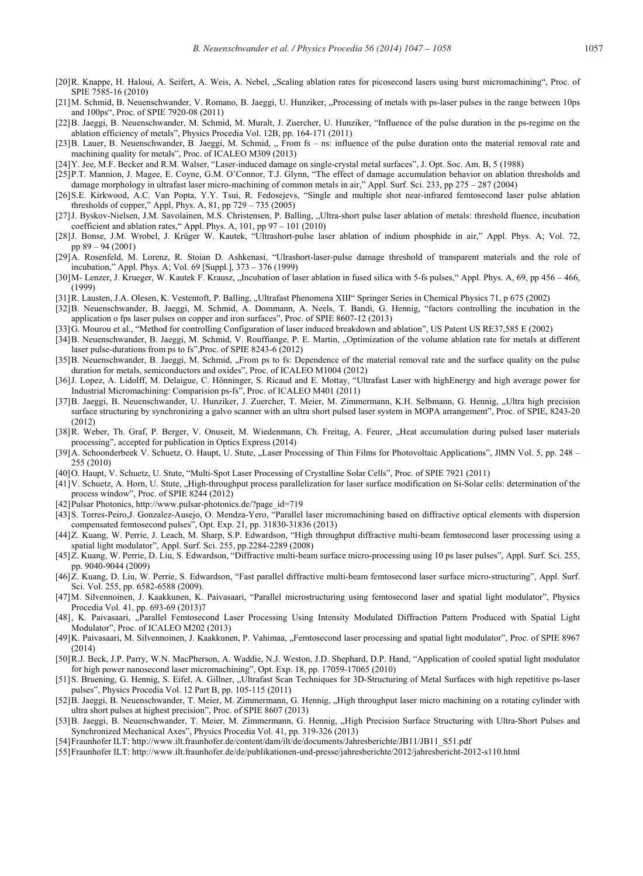- [20]R. Knappe, H. Haloui, A. Seifert, A. Weis, A. Nebel, "Scaling ablation rates for picosecond lasers using burst micromachining", Proc. of SPIE 7585-16 (2010)
- [21]M. Schmid, B. Neuenschwander, V. Romano, B. Jaeggi, U. Hunziker, "Processing of metals with ps-laser pulses in the range between 10ps and 100ps", Proc. of SPIE 7920-08 (2011)
- [22]B. Jaeggi, B. Neuenschwander, M. Schmid, M. Muralt, J. Zuercher, U. Hunziker, "Influence of the pulse duration in the ps-regime on the ablation efficiency of metals", Physics Procedia Vol. 12B, pp. 164-171 (2011)
- [23] B. Lauer, B. Neuenschwander, B. Jaeggi, M. Schmid, "From fs ns: influence of the pulse duration onto the material removal rate and machining quality for metals", Proc. of ICALEO M309 (2013)
- [24]Y. Jee, M.F. Becker and R.M. Walser, "Laser-induced damage on single-crystal metal surfaces", J. Opt. Soc. Am. B, 5 (1988)
- [25]P.T. Mannion, J. Magee, E. Coyne, G.M. O'Connor, T.J. Glynn, "The effect of damage accumulation behavior on ablation thresholds and damage morphology in ultrafast laser micro-machining of common metals in air," Appl. Surf. Sci. 233, pp 275 – 287 (2004)
- [26]S.E. Kirkwood, A.C. Van Popta, Y.Y. Tsui, R. Fedosejevs, "Single and multiple shot near-infrared femtosecond laser pulse ablation thresholds of copper," Appl, Phys. A, 81, pp 729 – 735 (2005)
- [27] J. Byskov-Nielsen, J.M. Savolainen, M.S. Christensen, P. Balling, "Ultra-short pulse laser ablation of metals: threshold fluence, incubation coefficient and ablation rates," Appl. Phys. A, 101, pp 97 – 101 (2010)
- [28]J. Bonse, J.M. Wrobel, J. Krüger W. Kautek, "Ultrashort-pulse laser ablation of indium phosphide in air," Appl. Phys. A; Vol. 72, pp 89 – 94 (2001)
- [29]A. Rosenfeld, M. Lorenz, R. Stoian D. Ashkenasi, "Ulrashort-laser-pulse damage threshold of transparent materials and the role of incubation," Appl. Phys. A; Vol. 69 [Suppl.], 373 – 376 (1999)
- [30]M- Lenzer, J. Krueger, W. Kautek F. Krausz, "Incubation of laser ablation in fused silica with 5-fs pulses," Appl. Phys. A, 69, pp 456 466, (1999)
- [31]R. Lausten, J.A. Olesen, K. Vestentoft, P. Balling, "Ultrafast Phenomena XIII" Springer Series in Chemical Physics 71, p 675 (2002)
- [32]B. Neuenschwander, B. Jaeggi, M. Schmid, A. Dommann, A. Neels, T. Bandi, G. Hennig, "factors controlling the incubation in the application o fps laser pulses on copper and iron surfaces", Proc. of SPIE 8607-12 (2013)
- [33]G. Mourou et al., "Method for controlling Configuration of laser induced breakdown and ablation", US Patent US RE37,585 E (2002)
- [34]B. Neuenschwander, B. Jaeggi, M. Schmid, V. Rouffiange, P. E. Martin, "Optimization of the volume ablation rate for metals at different laser pulse-durations from ps to fs",Proc. of SPIE 8243-6 (2012)
- [35] B. Neuenschwander, B. Jaeggi, M. Schmid, "From ps to fs: Dependence of the material removal rate and the surface quality on the pulse duration for metals, semiconductors and oxides", Proc. of ICALEO M1004 (2012)
- [36]J. Lopez, A. Lidolff, M. Delaigue, C. Hönninger, S. Ricaud and E. Mottay, "Ultrafast Laser with highEnergy and high average power for Industrial Micromachining: Comparision ps-fs", Proc. of ICALEO M401 (2011)
- [37] B. Jaeggi, B. Neuenschwander, U. Hunziker, J. Zuercher, T. Meier, M. Zimmermann, K.H. Selbmann, G. Hennig, "Ultra high precision surface structuring by synchronizing a galvo scanner with an ultra short pulsed laser system in MOPA arrangement", Proc. of SPIE, 8243-20 (2012)
- [38]R. Weber, Th. Graf, P. Berger, V. Onuseit, M. Wiedenmann, Ch. Freitag, A. Feurer, "Heat accumulation during pulsed laser materials processing", accepted for publication in Optics Express (2014)
- [39] A. Schoonderbeek V. Schuetz, O. Haupt, U. Stute, "Laser Processing of Thin Films for Photovoltaic Applications", JIMN Vol. 5, pp. 248 255 (2010)
- [40]O. Haupt, V. Schuetz, U. Stute, "Multi-Spot Laser Processing of Crystalline Solar Cells", Proc. of SPIE 7921 (2011)
- [41] V. Schuetz, A. Horn, U. Stute, "High-throughput process parallelization for laser surface modification on Si-Solar cells: determination of the process window", Proc. of SPIE 8244 (2012)
- [42]Pulsar Photonics, http://www.pulsar-photonics.de/?page\_id=719
- [43]S. Torres-Peiro,J. Gonzalez-Ausejo, O. Mendza-Yero, "Parallel laser micromachining based on diffractive optical elements with dispersion compensated femtosecond pulses", Opt. Exp. 21, pp. 31830-31836 (2013)
- [44]Z. Kuang, W. Perrie, J. Leach, M. Sharp, S.P. Edwardson, "High throughput diffractive multi-beam femtosecond laser processing using a spatial light modulator", Appl. Surf. Sci. 255, pp.2284-2289 (2008)
- [45]Z. Kuang, W. Perrie, D. Liu, S. Edwardson, "Diffractive multi-beam surface micro-processing using 10 ps laser pulses", Appl. Surf. Sci. 255, pp. 9040-9044 (2009)
- [46]Z. Kuang, D. Liu, W. Perrie, S. Edwardson, "Fast parallel diffractive multi-beam femtosecond laser surface micro-structuring", Appl. Surf. Sci. Vol. 255, pp. 6582-6588 (2009).
- [47]M. Silvennoinen, J. Kaakkunen, K. Paivasaari, "Parallel microstructuring using femtosecond laser and spatial light modulator", Physics Procedia Vol. 41, pp. 693-69 (2013)7
- [48], K. Paivasaari, "Parallel Femtosecond Laser Processing Using Intensity Modulated Diffraction Pattern Produced with Spatial Light Modulator", Proc. of ICALEO M202 (2013)
- [49] K. Paivasaari, M. Silvennoinen, J. Kaakkunen, P. Vahimaa, "Femtosecond laser processing and spatial light modulator", Proc. of SPIE 8967 (2014)
- [50]R.J. Beck, J.P. Parry, W.N. MacPherson, A. Waddie, N.J. Weston, J.D. Shephard, D.P. Hand, "Application of cooled spatial light modulator for high power nanosecond laser micromachining", Opt. Exp. 18, pp. 17059-17065 (2010)
- [51] S. Bruening, G. Hennig, S. Eifel, A. Gillner, "Ultrafast Scan Techniques for 3D-Structuring of Metal Surfaces with high repetitive ps-laser pulses", Physics Procedia Vol. 12 Part B, pp. 105-115 (2011)
- [52] B. Jaeggi, B. Neuenschwander, T. Meier, M. Zimmermann, G. Hennig, "High throughput laser micro machining on a rotating cylinder with ultra short pulses at highest precision", Proc. of SPIE 8607 (2013)
- [53] B. Jaeggi, B. Neuenschwander, T. Meier, M. Zimmermann, G. Hennig, "High Precision Surface Structuring with Ultra-Short Pulses and Synchronized Mechanical Axes", Physics Procedia Vol. 41, pp. 319-326 (2013)
- [54]Fraunhofer ILT: http://www.ilt.fraunhofer.de/content/dam/ilt/de/documents/Jahresberichte/JB11/JB11\_S51.pdf
- [55]Fraunhofer ILT: http://www.ilt.fraunhofer.de/de/publikationen-und-presse/jahresberichte/2012/jahresbericht-2012-s110.html